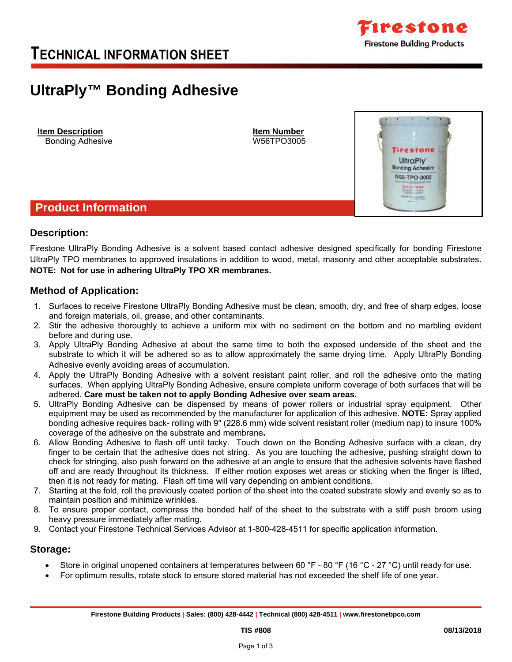

*Tirestone* **UltraPly Bonding Adhesive** W56-TPO-3005 Firestone **DESCARD ILLS** 

# **UltraPly™ Bonding Adhesive**

**Item Description Item Number** Bonding Adhesive W56TPO3005

**Product Information** 

### **Description:**

Firestone UltraPly Bonding Adhesive is a solvent based contact adhesive designed specifically for bonding Firestone UltraPly TPO membranes to approved insulations in addition to wood, metal, masonry and other acceptable substrates. **NOTE:****Not for use in adhering UltraPly TPO XR membranes.**

### **Method of Application:**

- 1. Surfaces to receive Firestone UltraPly Bonding Adhesive must be clean, smooth, dry, and free of sharp edges, loose and foreign materials, oil, grease, and other contaminants.
- 2. Stir the adhesive thoroughly to achieve a uniform mix with no sediment on the bottom and no marbling evident before and during use.
- 3. Apply UltraPly Bonding Adhesive at about the same time to both the exposed underside of the sheet and the substrate to which it will be adhered so as to allow approximately the same drying time. Apply UltraPly Bonding Adhesive evenly avoiding areas of accumulation.
- 4. Apply the UltraPly Bonding Adhesive with a solvent resistant paint roller, and roll the adhesive onto the mating surfaces. When applying UltraPly Bonding Adhesive, ensure complete uniform coverage of both surfaces that will be adhered. **Care must be taken not to apply Bonding Adhesive over seam areas.**
- 5. UltraPly Bonding Adhesive can be dispensed by means of power rollers or industrial spray equipment. Other equipment may be used as recommended by the manufacturer for application of this adhesive. **NOTE:** Spray applied bonding adhesive requires back- rolling with 9" (228.6 mm) wide solvent resistant roller (medium nap) to insure 100% coverage of the adhesive on the substrate and membrane**.**
- 6. Allow Bonding Adhesive to flash off until tacky. Touch down on the Bonding Adhesive surface with a clean, dry finger to be certain that the adhesive does not string. As you are touching the adhesive, pushing straight down to check for stringing, also push forward on the adhesive at an angle to ensure that the adhesive solvents have flashed off and are ready throughout its thickness. If either motion exposes wet areas or sticking when the finger is lifted, then it is not ready for mating. Flash off time will vary depending on ambient conditions.
- 7. Starting at the fold, roll the previously coated portion of the sheet into the coated substrate slowly and evenly so as to maintain position and minimize wrinkles.
- 8. To ensure proper contact, compress the bonded half of the sheet to the substrate with a stiff push broom using heavy pressure immediately after mating.
- 9. Contact your Firestone Technical Services Advisor at 1-800-428-4511 for specific application information.

### **Storage:**

- Store in original unopened containers at temperatures between 60 °F 80 °F (16 °C 27 °C) until ready for use.
- For optimum results, rotate stock to ensure stored material has not exceeded the shelf life of one year.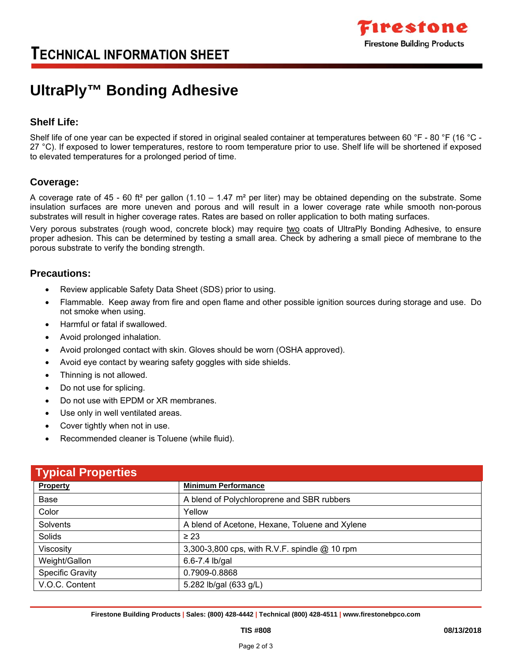

# **TECHNICAL INFORMATION SHEET**

# **UltraPly™ Bonding Adhesive**

## **Shelf Life:**

Shelf life of one year can be expected if stored in original sealed container at temperatures between 60 °F - 80 °F (16 °C -27 °C). If exposed to lower temperatures, restore to room temperature prior to use. Shelf life will be shortened if exposed to elevated temperatures for a prolonged period of time.

### **Coverage:**

A coverage rate of 45 - 60 ft<sup>2</sup> per gallon (1.10 – 1.47 m<sup>2</sup> per liter) may be obtained depending on the substrate. Some insulation surfaces are more uneven and porous and will result in a lower coverage rate while smooth non-porous substrates will result in higher coverage rates. Rates are based on roller application to both mating surfaces.

Very porous substrates (rough wood, concrete block) may require two coats of UltraPly Bonding Adhesive, to ensure proper adhesion. This can be determined by testing a small area. Check by adhering a small piece of membrane to the porous substrate to verify the bonding strength.

#### **Precautions:**

- Review applicable Safety Data Sheet (SDS) prior to using.
- Flammable. Keep away from fire and open flame and other possible ignition sources during storage and use. Do not smoke when using.
- Harmful or fatal if swallowed.
- Avoid prolonged inhalation.
- Avoid prolonged contact with skin. Gloves should be worn (OSHA approved).
- Avoid eye contact by wearing safety goggles with side shields.
- Thinning is not allowed.
- Do not use for splicing.
- Do not use with EPDM or XR membranes.
- Use only in well ventilated areas.
- Cover tightly when not in use.
- Recommended cleaner is Toluene (while fluid).

| <b>Typical Properties</b> |                                                |
|---------------------------|------------------------------------------------|
| <b>Property</b>           | <b>Minimum Performance</b>                     |
| Base                      | A blend of Polychloroprene and SBR rubbers     |
| Color                     | Yellow                                         |
| Solvents                  | A blend of Acetone, Hexane, Toluene and Xylene |
| Solids                    | $\geq 23$                                      |
| Viscosity                 | 3,300-3,800 cps, with R.V.F. spindle @ 10 rpm  |
| Weight/Gallon             | 6.6-7.4 lb/gal                                 |
| <b>Specific Gravity</b>   | 0.7909-0.8868                                  |
| V.O.C. Content            | 5.282 lb/gal (633 g/L)                         |